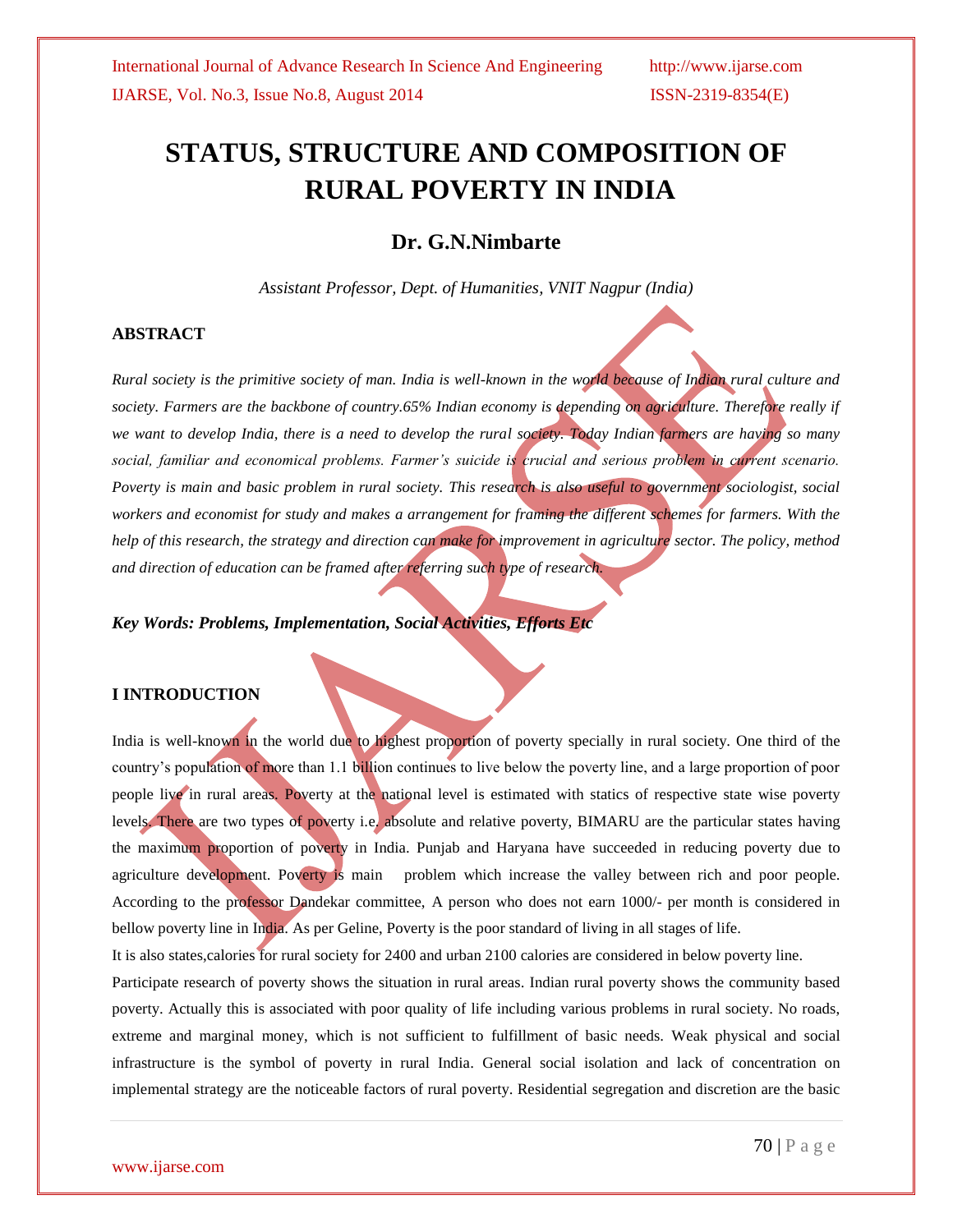# **STATUS, STRUCTURE AND COMPOSITION OF RURAL POVERTY IN INDIA**

# **Dr. G.N.Nimbarte**

*Assistant Professor, Dept. of Humanities, VNIT Nagpur (India)*

#### **ABSTRACT**

*Rural society is the primitive society of man. India is well-known in the world because of Indian rural culture and*  society. Farmers are the backbone of country.65% Indian economy is depending on agriculture. Therefore really if *we want to develop India, there is a need to develop the rural society. Today Indian farmers are having so many*  social, familiar and economical problems. Farmer's suicide is crucial and serious problem in current scenario. *Poverty is main and basic problem in rural society. This research is also useful to government sociologist, social workers and economist for study and makes a arrangement for framing the different schemes for farmers. With the help of this research, the strategy and direction can make for improvement in agriculture sector. The policy, method and direction of education can be framed after referring such type of research.*

*Key Words: Problems, Implementation, Social Activities, Efforts Etc*

#### **I INTRODUCTION**

India is well-known in the world due to highest proportion of poverty specially in rural society. One third of the country's population of more than 1.1 billion continues to live below the poverty line, and a large proportion of poor people live in rural areas. Poverty at the national level is estimated with statics of respective state wise poverty levels. There are two types of poverty i.e. absolute and relative poverty, BIMARU are the particular states having the maximum proportion of poverty in India. Punjab and Haryana have succeeded in reducing poverty due to agriculture development. Poverty is main problem which increase the valley between rich and poor people. According to the professor Dandekar committee, A person who does not earn 1000/- per month is considered in bellow poverty line in India. As per Geline, Poverty is the poor standard of living in all stages of life.

It is also states,calories for rural society for 2400 and urban 2100 calories are considered in below poverty line.

Participate research of poverty shows the situation in rural areas. Indian rural poverty shows the community based poverty. Actually this is associated with poor quality of life including various problems in rural society. No roads, extreme and marginal money, which is not sufficient to fulfillment of basic needs. Weak physical and social infrastructure is the symbol of poverty in rural India. General social isolation and lack of concentration on implemental strategy are the noticeable factors of rural poverty. Residential segregation and discretion are the basic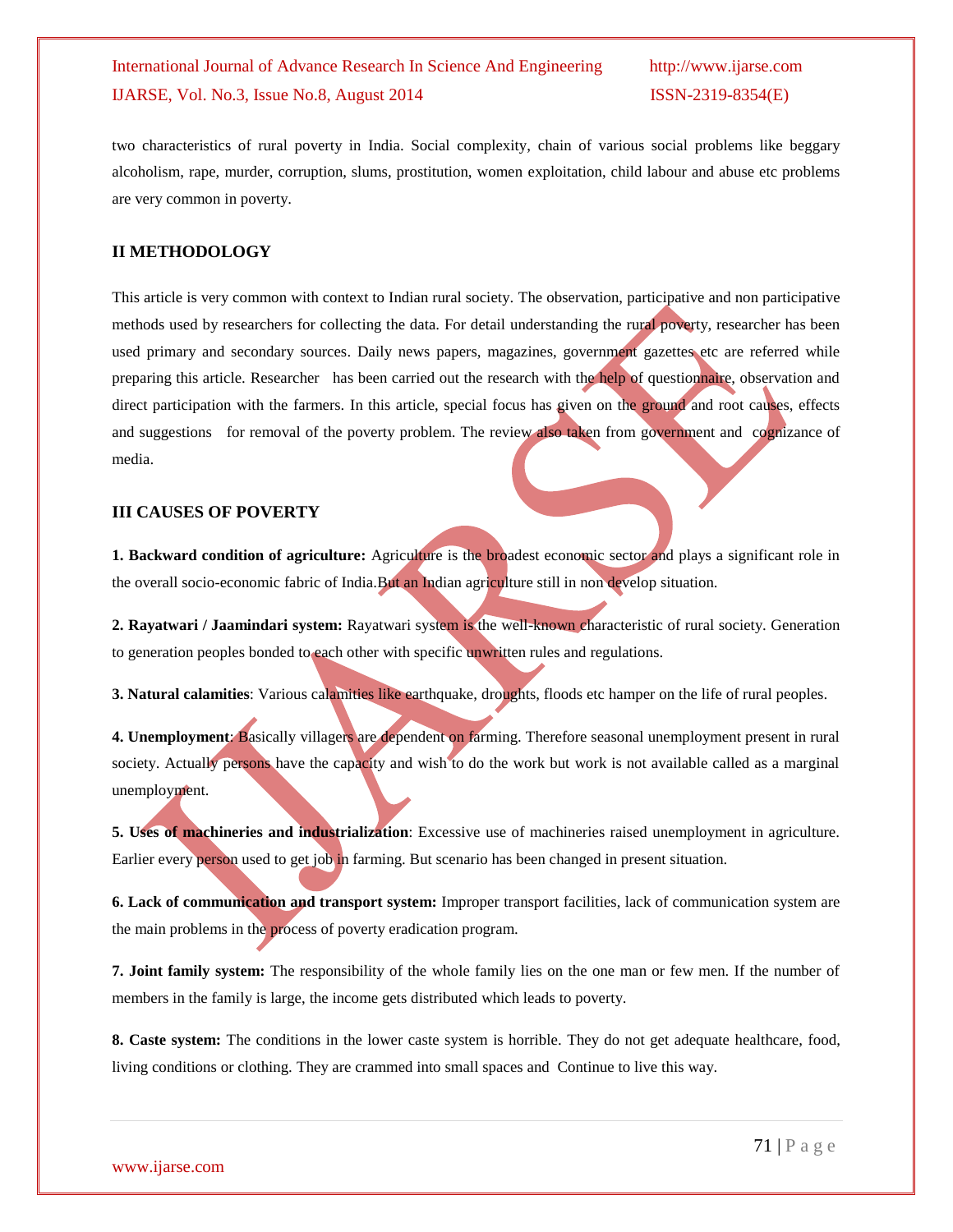# International Journal of Advance Research In Science And Engineering http://www.ijarse.com IJARSE, Vol. No.3, Issue No.8, August 2014 ISSN-2319-8354(E)

two characteristics of rural poverty in India. Social complexity, chain of various social problems like beggary alcoholism, rape, murder, corruption, slums, prostitution, women exploitation, child labour and abuse etc problems are very common in poverty.

#### **II METHODOLOGY**

This article is very common with context to Indian rural society. The observation, participative and non participative methods used by researchers for collecting the data. For detail understanding the rural poverty, researcher has been used primary and secondary sources. Daily news papers, magazines, government gazettes etc are referred while preparing this article. Researcher has been carried out the research with the help of questionnaire, observation and direct participation with the farmers. In this article, special focus has given on the ground and root causes, effects and suggestions for removal of the poverty problem. The review also taken from government and cognizance of media.

### **III CAUSES OF POVERTY**

**1. Backward condition of agriculture:** Agriculture is the broadest economic sector and plays a significant role in the overall socio-economic fabric of India.But an Indian agriculture still in non develop situation.

**2. Rayatwari / Jaamindari system:** Rayatwari system is the well-known characteristic of rural society. Generation to generation peoples bonded to each other with specific unwritten rules and regulations.

**3. Natural calamities**: Various calamities like earthquake, droughts, floods etc hamper on the life of rural peoples.

**4. Unemployment**: Basically villagers are dependent on farming. Therefore seasonal unemployment present in rural society. Actually persons have the capacity and wish to do the work but work is not available called as a marginal unemployment.

**5. Uses of machineries and industrialization**: Excessive use of machineries raised unemployment in agriculture. Earlier every person used to get job in farming. But scenario has been changed in present situation.

**6. Lack of communication and transport system:** Improper transport facilities, lack of communication system are the main problems in the process of poverty eradication program.

**7. Joint family system:** The responsibility of the whole family lies on the one man or few men. If the number of members in the family is large, the income gets distributed which leads to poverty.

**8. Caste system:** The conditions in the lower caste system is horrible. They do not get adequate healthcare, food, living conditions or clothing. They are crammed into small spaces and Continue to live this way.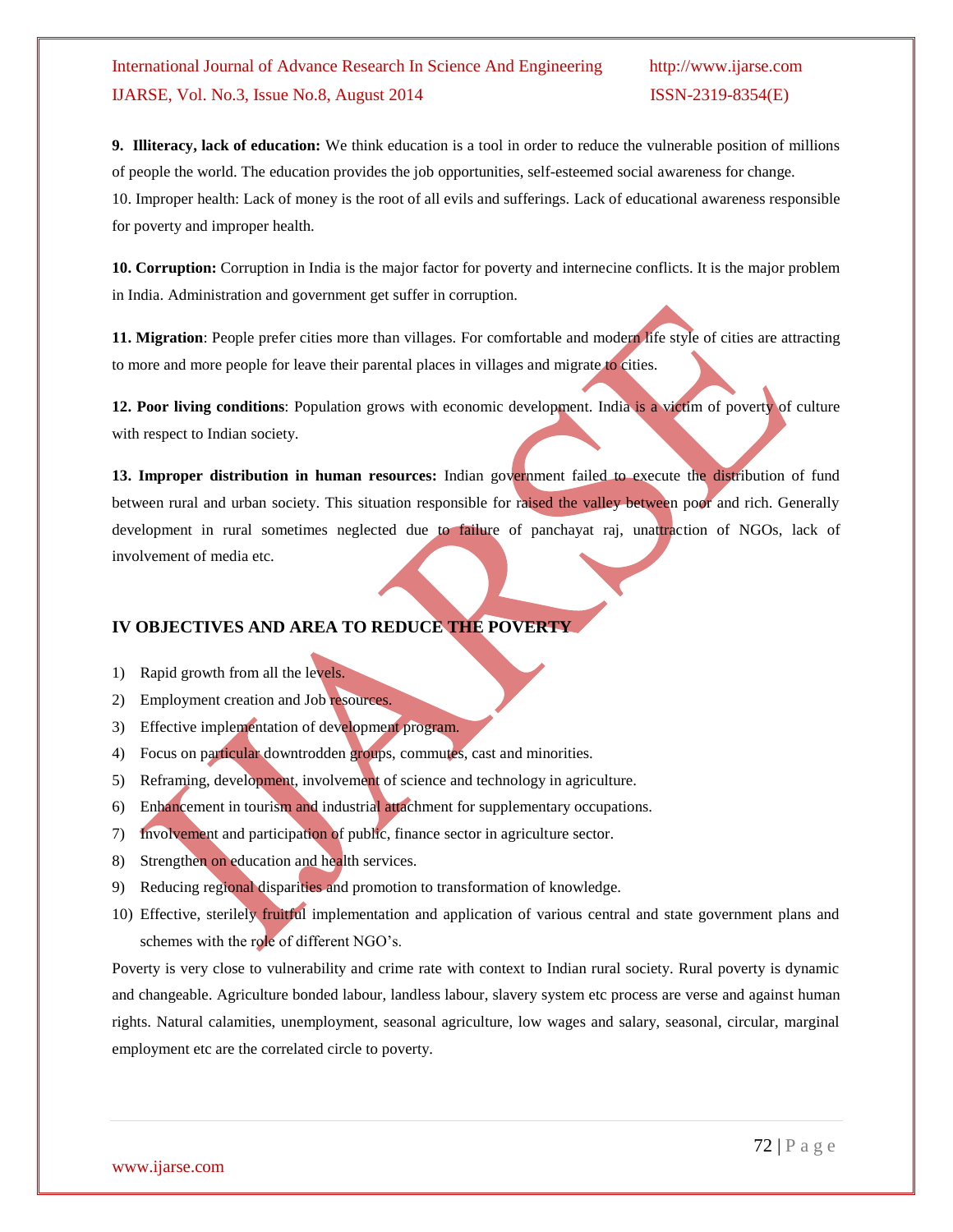# International Journal of Advance Research In Science And Engineering http://www.ijarse.com IJARSE, Vol. No.3, Issue No.8, August 2014 ISSN-2319-8354(E)

**9. Illiteracy, lack of education:** We think education is a tool in order to reduce the vulnerable position of millions of people the world. The education provides the job opportunities, self-esteemed social awareness for change. 10. Improper health: Lack of money is the root of all evils and sufferings. Lack of educational awareness responsible for poverty and improper health.

**10. Corruption:** Corruption in India is the major factor for poverty and internecine conflicts. It is the major problem in India. Administration and government get suffer in corruption.

**11. Migration**: People prefer cities more than villages. For comfortable and modern life style of cities are attracting to more and more people for leave their parental places in villages and migrate to cities.

**12. Poor living conditions**: Population grows with economic development. India is a victim of poverty of culture with respect to Indian society.

**13. Improper distribution in human resources:** Indian government failed to execute the distribution of fund between rural and urban society. This situation responsible for raised the valley between poor and rich. Generally development in rural sometimes neglected due to failure of panchayat raj, unattraction of NGOs, lack of involvement of media etc.

### **IV OBJECTIVES AND AREA TO REDUCE THE POVERTY**

- 1) Rapid growth from all the levels.
- 2) Employment creation and Job resources.
- 3) Effective implementation of development program.
- 4) Focus on particular downtrodden groups, commutes, cast and minorities.
- 5) Reframing, development, involvement of science and technology in agriculture.
- 6) Enhancement in tourism and industrial attachment for supplementary occupations.
- 7) Involvement and participation of public, finance sector in agriculture sector.
- 8) Strengthen on education and health services.
- 9) Reducing regional disparities and promotion to transformation of knowledge.
- 10) Effective, sterilely fruitful implementation and application of various central and state government plans and schemes with the role of different NGO's.

Poverty is very close to vulnerability and crime rate with context to Indian rural society. Rural poverty is dynamic and changeable. Agriculture bonded labour, landless labour, slavery system etc process are verse and against human rights. Natural calamities, unemployment, seasonal agriculture, low wages and salary, seasonal, circular, marginal employment etc are the correlated circle to poverty.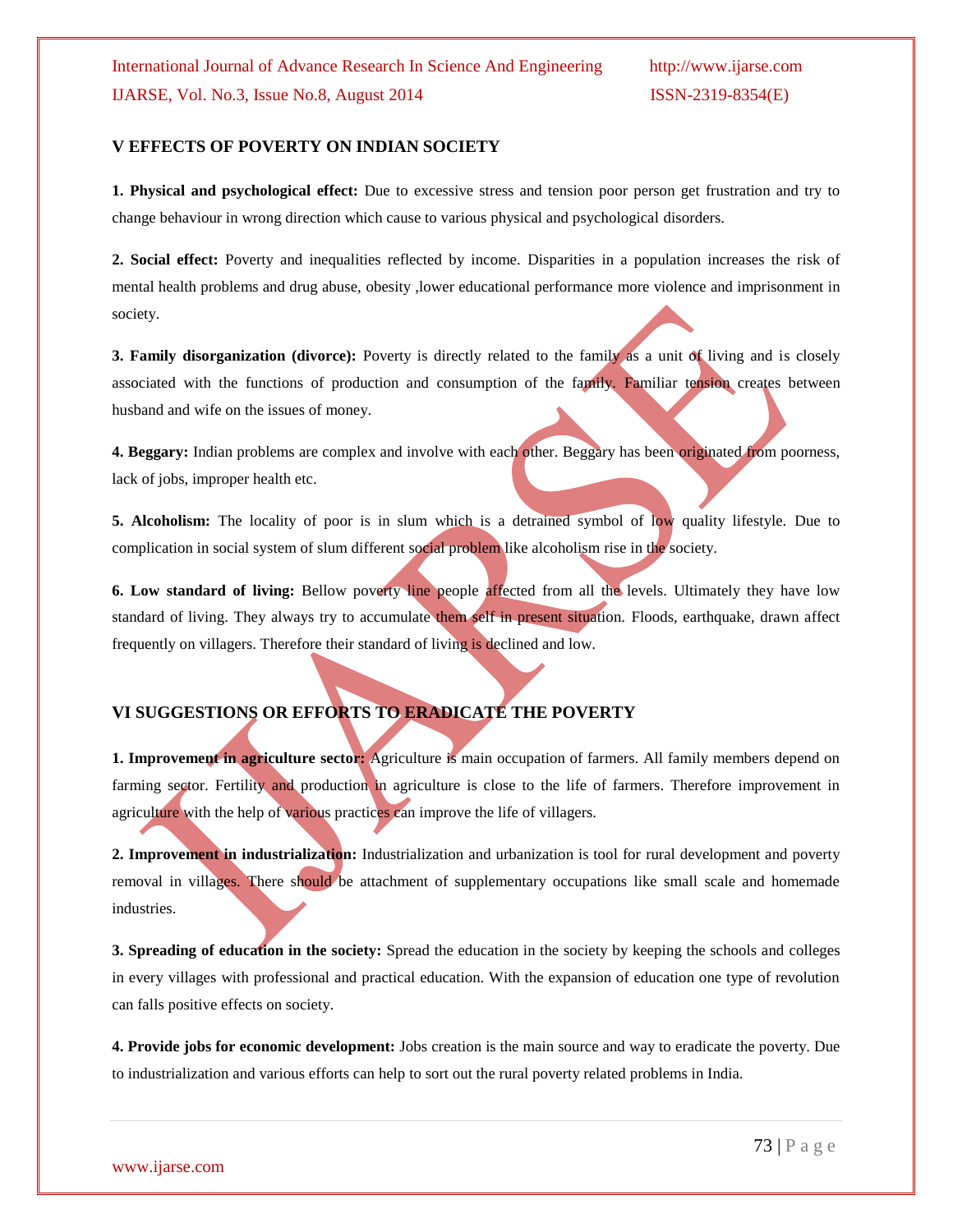#### **V EFFECTS OF POVERTY ON INDIAN SOCIETY**

**1. Physical and psychological effect:** Due to excessive stress and tension poor person get frustration and try to change behaviour in wrong direction which cause to various physical and psychological disorders.

**2. Social effect:** Poverty and inequalities reflected by income. Disparities in a population increases the risk of mental health problems and drug abuse, obesity ,lower educational performance more violence and imprisonment in society.

**3. Family disorganization (divorce):** Poverty is directly related to the family as a unit of living and is closely associated with the functions of production and consumption of the family. Familiar tension creates between husband and wife on the issues of money.

**4. Beggary:** Indian problems are complex and involve with each other. Beggary has been originated from poorness, lack of jobs, improper health etc.

**5. Alcoholism:** The locality of poor is in slum which is a detrained symbol of low quality lifestyle. Due to complication in social system of slum different social problem like alcoholism rise in the society.

**6. Low standard of living:** Bellow poverty line people affected from all the levels. Ultimately they have low standard of living. They always try to accumulate them self in present situation. Floods, earthquake, drawn affect frequently on villagers. Therefore their standard of living is declined and low.

## **VI SUGGESTIONS OR EFFORTS TO ERADICATE THE POVERTY**

**1. Improvement in agriculture sector:** Agriculture is main occupation of farmers. All family members depend on farming sector. Fertility and production in agriculture is close to the life of farmers. Therefore improvement in agriculture with the help of various practices can improve the life of villagers.

**2. Improvement in industrialization:** Industrialization and urbanization is tool for rural development and poverty removal in villages. There should be attachment of supplementary occupations like small scale and homemade industries.

**3. Spreading of education in the society:** Spread the education in the society by keeping the schools and colleges in every villages with professional and practical education. With the expansion of education one type of revolution can falls positive effects on society.

**4. Provide jobs for economic development:** Jobs creation is the main source and way to eradicate the poverty. Due to industrialization and various efforts can help to sort out the rural poverty related problems in India.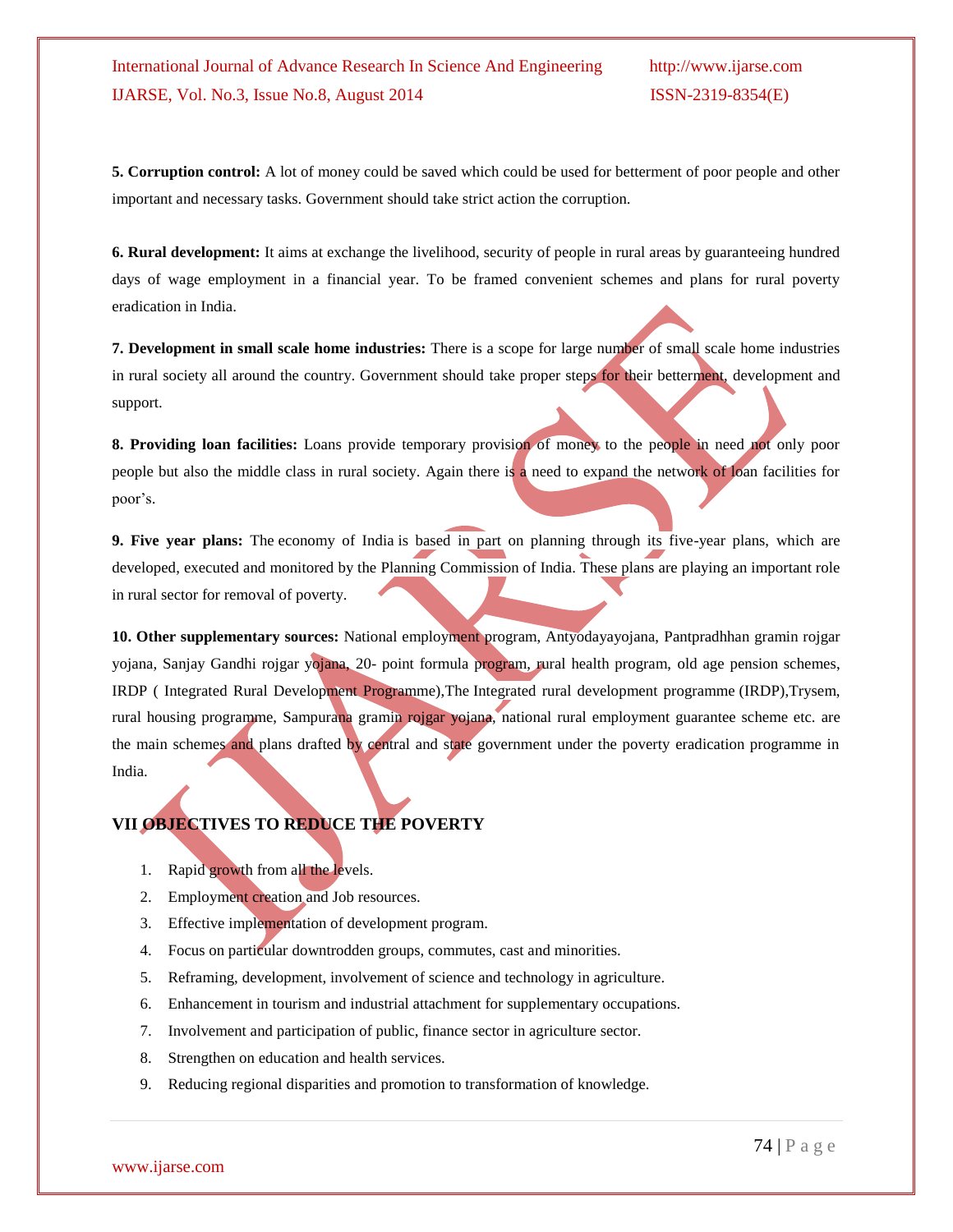**5. Corruption control:** A lot of money could be saved which could be used for betterment of poor people and other important and necessary tasks. Government should take strict action the corruption.

**6. Rural development:** It aims at exchange the livelihood, security of people in rural areas by guaranteeing hundred days of wage employment in a financial year. To be framed convenient schemes and plans for rural poverty eradication in India.

**7. Development in small scale home industries:** There is a scope for large number of small scale home industries in rural society all around the country. Government should take proper steps for their betterment, development and support.

**8. Providing loan facilities:** Loans provide temporary provision of money to the people in need not only poor people but also the middle class in rural society. Again there is a need to expand the network of loan facilities for poor's.

**9. Five year plans:** The economy of India is based in part on planning through its five-year plans, which are developed, executed and monitored by the Planning Commission of India. These plans are playing an important role in rural sector for removal of poverty.

**10. Other supplementary sources:** National employment program, Antyodayayojana, Pantpradhhan gramin rojgar yojana, Sanjay Gandhi rojgar yojana, 20- point formula program, rural health program, old age pension schemes, IRDP ( Integrated Rural Development Programme),The Integrated rural development programme (IRDP),Trysem, rural housing programme, Sampurana gramin rojgar yojana, national rural employment guarantee scheme etc. are the main schemes and plans drafted by central and state government under the poverty eradication programme in India.

# **VII OBJECTIVES TO REDUCE THE POVERTY**

- 1. Rapid growth from all the levels.
- 2. Employment creation and Job resources.
- 3. Effective implementation of development program.
- 4. Focus on particular downtrodden groups, commutes, cast and minorities.
- 5. Reframing, development, involvement of science and technology in agriculture.
- 6. Enhancement in tourism and industrial attachment for supplementary occupations.
- 7. Involvement and participation of public, finance sector in agriculture sector.
- 8. Strengthen on education and health services.
- 9. Reducing regional disparities and promotion to transformation of knowledge.